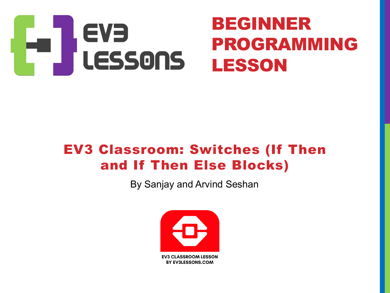

### EV3 Classroom: Switches (If Then and If Then Else Blocks)

By Sanjay and Arvind Seshan

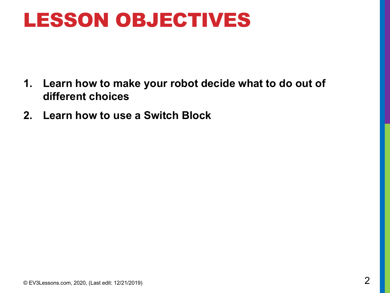### LESSON OBJECTIVES

- **1. Learn how to make your robot decide what to do out of different choices**
- **2. Learn how to use a Switch Block**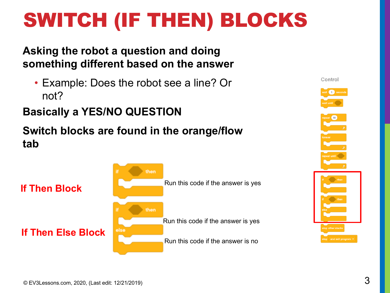# SWITCH (IF THEN) BLOCKS

#### **Asking the robot a question and doing something different based on the answer**

• Example: Does the robot see a line? Or not?

#### **Basically a YES/NO QUESTION**

#### **Switch blocks are found in the orange/flow tab**



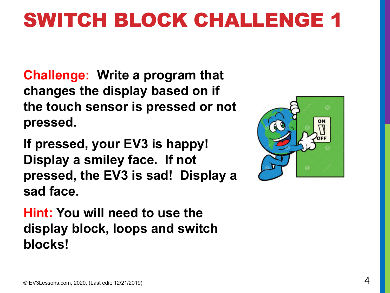## SWITCH BLOCK CHALLENGE 1

**Challenge: Write a program that changes the display based on if the touch sensor is pressed or not pressed.** 

**If pressed, your EV3 is happy! Display a smiley face. If not pressed, the EV3 is sad! Display a sad face.**

**Hint: You will need to use the display block, loops and switch blocks!**

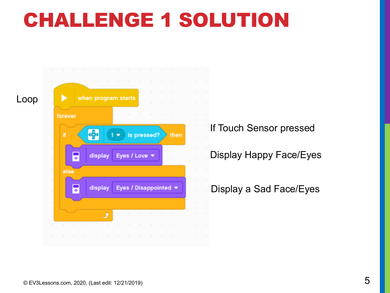## CHALLENGE 1 SOLUTION





If Touch Sensor pressed

Display Happy Face/Eyes

Display a Sad Face/Eyes